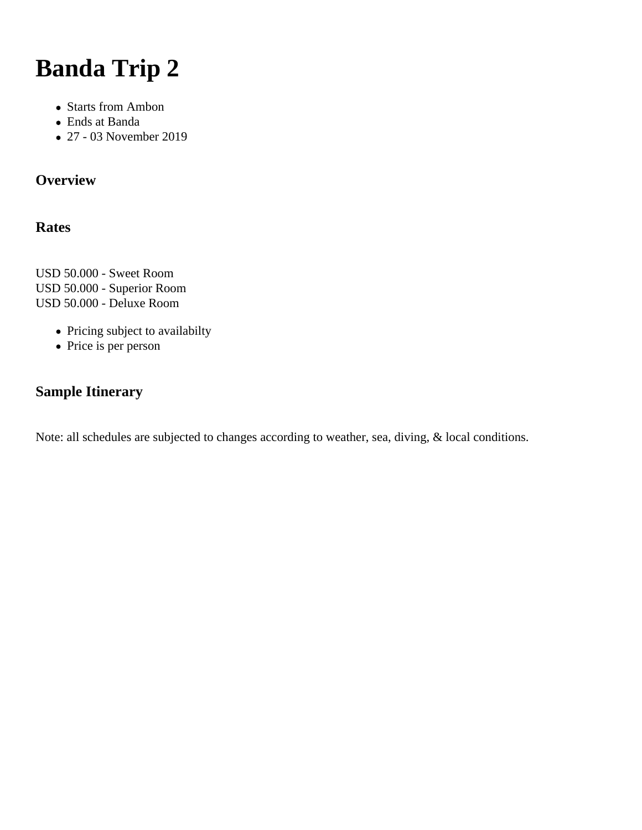# **Banda Trip 2**

- Starts from Ambon
- Ends at Banda
- 27 03 November 2019

# **Overview**

# **Rates**

USD 50.000 - Sweet Room USD 50.000 - Superior Room USD 50.000 - Deluxe Room

- Pricing subject to availabilty
- Price is per person

# **Sample Itinerary**

Note: all schedules are subjected to changes according to weather, sea, diving, & local conditions.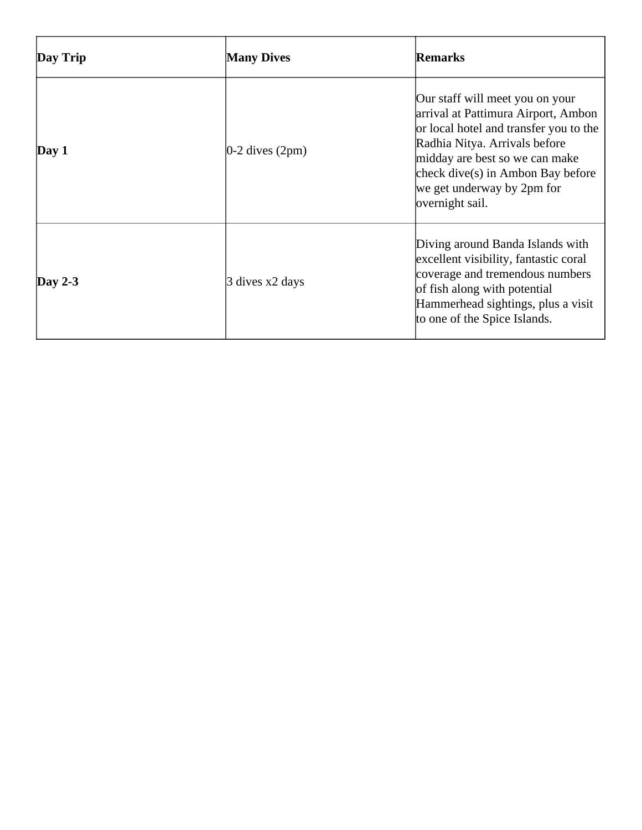| Day Trip    | <b>Many Dives</b>    | Remarks                                                                                                                                                                                                                                                                      |
|-------------|----------------------|------------------------------------------------------------------------------------------------------------------------------------------------------------------------------------------------------------------------------------------------------------------------------|
| $\bf Day 1$ | $ 0-2$ dives $(2pm)$ | Our staff will meet you on your<br>arrival at Pattimura Airport, Ambon<br>or local hotel and transfer you to the<br>Radhia Nitya. Arrivals before<br>midday are best so we can make<br>check dive $(s)$ in Ambon Bay before<br>we get underway by 2pm for<br>overnight sail. |
| Day 2-3     | 3 dives x2 days      | Diving around Banda Islands with<br>excellent visibility, fantastic coral<br>coverage and tremendous numbers<br>of fish along with potential<br>Hammerhead sightings, plus a visit<br>to one of the Spice Islands.                                                           |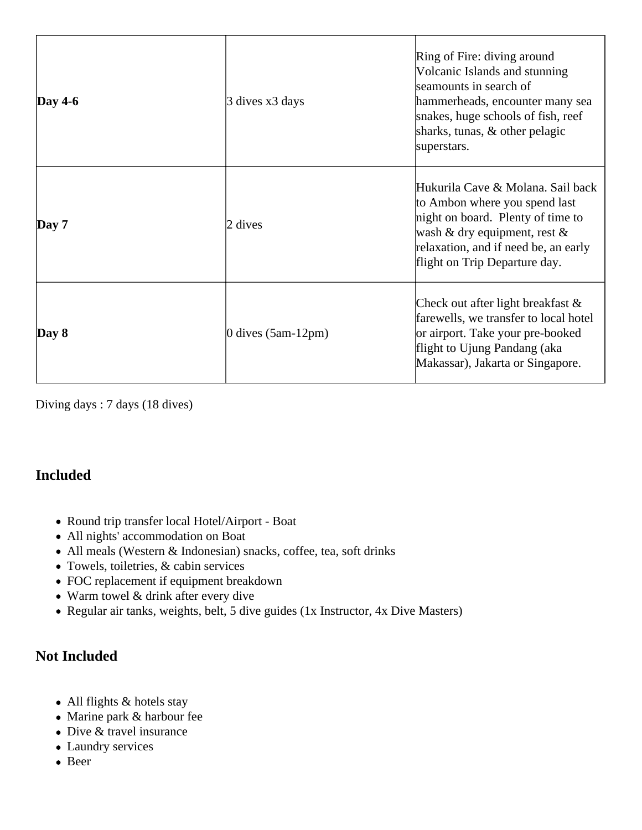| Day $4-6$   | 3 dives x3 days      | Ring of Fire: diving around<br>Volcanic Islands and stunning<br>seamounts in search of<br>hammerheads, encounter many sea<br>snakes, huge schools of fish, reef<br>sharks, tunas, & other pelagic<br>superstars.    |
|-------------|----------------------|---------------------------------------------------------------------------------------------------------------------------------------------------------------------------------------------------------------------|
| $\bf Day 7$ | 2 dives              | Hukurila Cave & Molana. Sail back<br>to Ambon where you spend last<br>night on board. Plenty of time to<br>wash & dry equipment, rest $\&$<br>relaxation, and if need be, an early<br>flight on Trip Departure day. |
| $\bf Day 8$ | 0 dives $(5am-12pm)$ | Check out after light breakfast $\&$<br>farewells, we transfer to local hotel<br>or airport. Take your pre-booked<br>flight to Ujung Pandang (aka<br>Makassar), Jakarta or Singapore.                               |

Diving days : 7 days (18 dives)

# **Included**

- Round trip transfer local Hotel/Airport Boat
- All nights' accommodation on Boat
- All meals (Western & Indonesian) snacks, coffee, tea, soft drinks
- Towels, toiletries, & cabin services
- FOC replacement if equipment breakdown
- Warm towel & drink after every dive
- Regular air tanks, weights, belt, 5 dive guides (1x Instructor, 4x Dive Masters)

# **Not Included**

- All flights & hotels stay
- Marine park & harbour fee
- Dive & travel insurance
- Laundry services
- Beer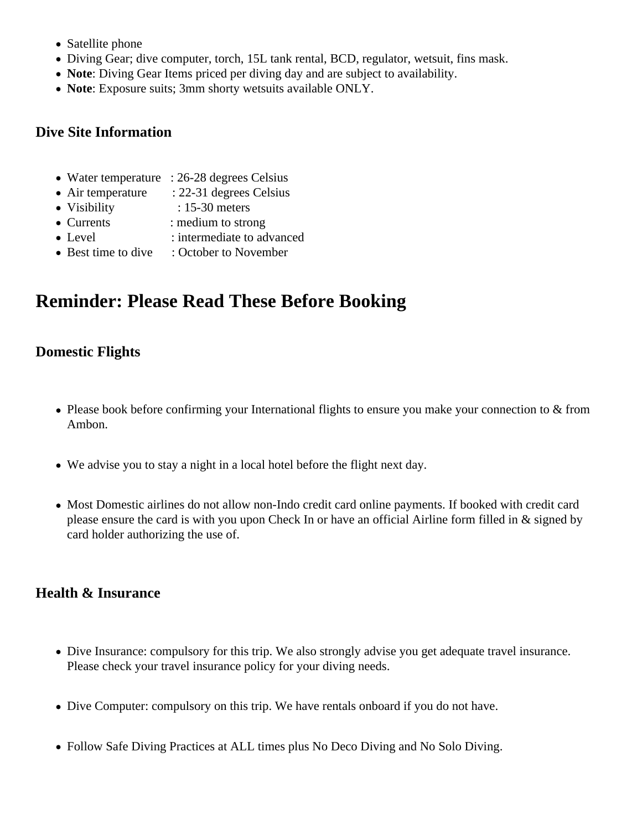- Satellite phone
- Diving Gear; dive computer, torch, 15L tank rental, BCD, regulator, wetsuit, fins mask.
- **Note**: Diving Gear Items priced per diving day and are subject to availability.
- **Note**: Exposure suits; 3mm shorty wetsuits available ONLY.

#### **Dive Site Information**

- Water temperature : 26-28 degrees Celsius
- Air temperature : 22-31 degrees Celsius
- Visibility : 15-30 meters
- Currents : medium to strong
- Level : intermediate to advanced
- Best time to dive : October to November

# **Reminder: Please Read These Before Booking**

# **Domestic Flights**

- Please book before confirming your International flights to ensure you make your connection to & from Ambon.
- We advise you to stay a night in a local hotel before the flight next day.
- Most Domestic airlines do not allow non-Indo credit card online payments. If booked with credit card please ensure the card is with you upon Check In or have an official Airline form filled in & signed by card holder authorizing the use of.

# **Health & Insurance**

- Dive Insurance: compulsory for this trip. We also strongly advise you get adequate travel insurance. Please check your travel insurance policy for your diving needs.
- Dive Computer: compulsory on this trip. We have rentals onboard if you do not have.
- Follow Safe Diving Practices at ALL times plus No Deco Diving and No Solo Diving.